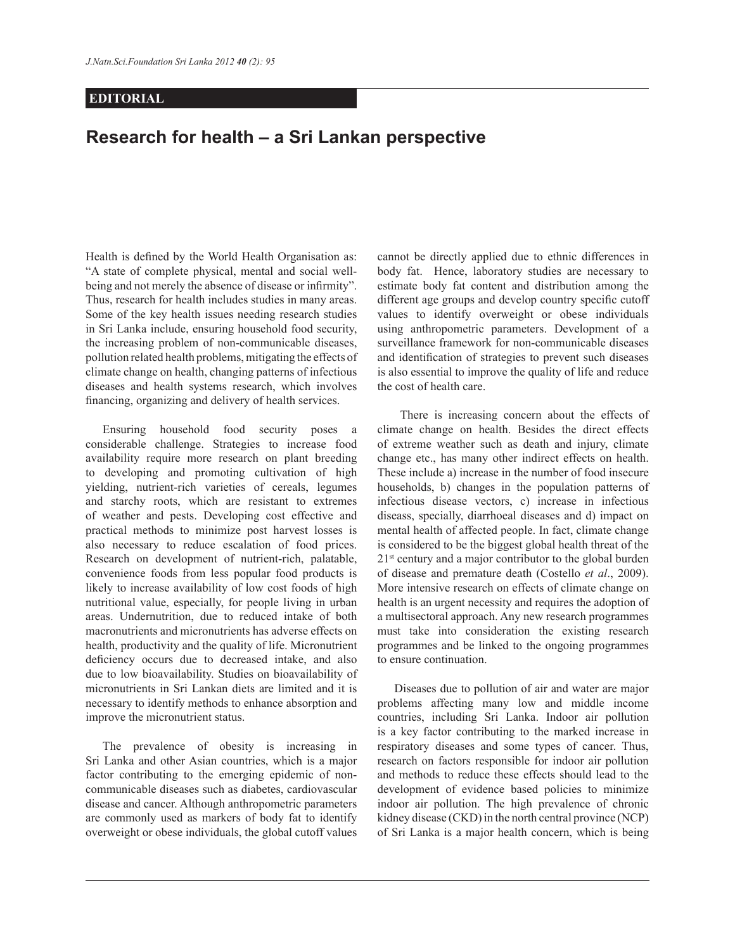## **EDITORIAL**

## **Research for health – a Sri Lankan perspective**

Health is defined by the World Health Organisation as: "A state of complete physical, mental and social wellbeing and not merely the absence of disease or infirmity". Thus, research for health includes studies in many areas. Some of the key health issues needing research studies in Sri Lanka include, ensuring household food security, the increasing problem of non-communicable diseases, pollution related health problems, mitigating the effects of climate change on health, changing patterns of infectious diseases and health systems research, which involves financing, organizing and delivery of health services.

 Ensuring household food security poses a considerable challenge. Strategies to increase food availability require more research on plant breeding to developing and promoting cultivation of high yielding, nutrient-rich varieties of cereals, legumes and starchy roots, which are resistant to extremes of weather and pests. Developing cost effective and practical methods to minimize post harvest losses is also necessary to reduce escalation of food prices. Research on development of nutrient-rich, palatable, convenience foods from less popular food products is likely to increase availability of low cost foods of high nutritional value, especially, for people living in urban areas. Undernutrition, due to reduced intake of both macronutrients and micronutrients has adverse effects on health, productivity and the quality of life. Micronutrient deficiency occurs due to decreased intake, and also due to low bioavailability. Studies on bioavailability of micronutrients in Sri Lankan diets are limited and it is necessary to identify methods to enhance absorption and improve the micronutrient status.

 The prevalence of obesity is increasing in Sri Lanka and other Asian countries, which is a major factor contributing to the emerging epidemic of noncommunicable diseases such as diabetes, cardiovascular disease and cancer. Although anthropometric parameters are commonly used as markers of body fat to identify overweight or obese individuals, the global cutoff values

cannot be directly applied due to ethnic differences in body fat. Hence, laboratory studies are necessary to estimate body fat content and distribution among the different age groups and develop country specific cutoff values to identify overweight or obese individuals using anthropometric parameters. Development of a surveillance framework for non-communicable diseases and identification of strategies to prevent such diseases is also essential to improve the quality of life and reduce the cost of health care.

 There is increasing concern about the effects of climate change on health. Besides the direct effects of extreme weather such as death and injury, climate change etc., has many other indirect effects on health. These include a) increase in the number of food insecure households, b) changes in the population patterns of infectious disease vectors, c) increase in infectious diseass, specially, diarrhoeal diseases and d) impact on mental health of affected people. In fact, climate change is considered to be the biggest global health threat of the 21<sup>st</sup> century and a major contributor to the global burden of disease and premature death (Costello *et al*., 2009). More intensive research on effects of climate change on health is an urgent necessity and requires the adoption of a multisectoral approach. Any new research programmes must take into consideration the existing research programmes and be linked to the ongoing programmes to ensure continuation.

 Diseases due to pollution of air and water are major problems affecting many low and middle income countries, including Sri Lanka. Indoor air pollution is a key factor contributing to the marked increase in respiratory diseases and some types of cancer. Thus, research on factors responsible for indoor air pollution and methods to reduce these effects should lead to the development of evidence based policies to minimize indoor air pollution. The high prevalence of chronic kidney disease (CKD) in the north central province (NCP) of Sri Lanka is a major health concern, which is being